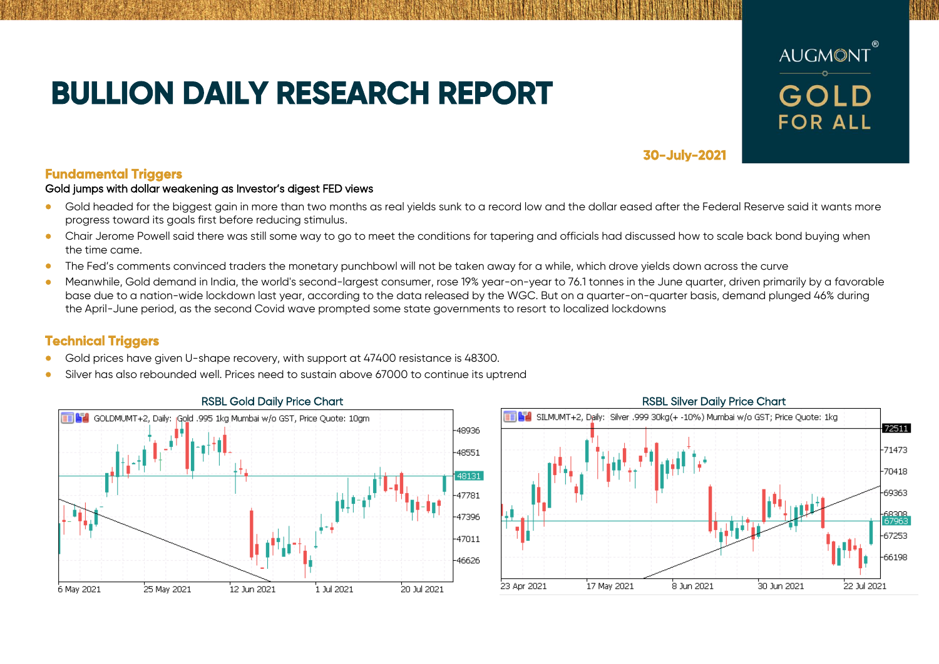# **BULLION DAILY RESEARCH REPORT**



**30-July-2021** 

# **Fundamental Triggers**

### Gold jumps with dollar weakening as Investor's digest FED views

- Gold headed for the biggest gain in more than two months as real yields sunk to a record low and the dollar eased after the Federal Reserve said it wants more progress toward its goals first before reducing stimulus.
- Chair Jerome Powell said there was still some way to go to meet the conditions for tapering and officials had discussed how to scale back bond buying when the time came.
- The Fed's comments convinced traders the monetary punchbowl will not be taken away for a while, which drove yields down across the curve
- Meanwhile, Gold demand in India, the world's second-largest consumer, rose 19% year-on-year to 76.1 tonnes in the June quarter, driven primarily by a favorable base due to a nation-wide lockdown last year, according to the data released by the WGC. But on a quarter-on-quarter basis, demand plunged 46% during the April-June period, as the second Covid wave prompted some state governments to resort to localized lockdowns

# **Technical Triggers**

- Gold prices have given U-shape recovery, with support at 47400 resistance is 48300.
- Silver has also rebounded well. Prices need to sustain above 67000 to continue its uptrend